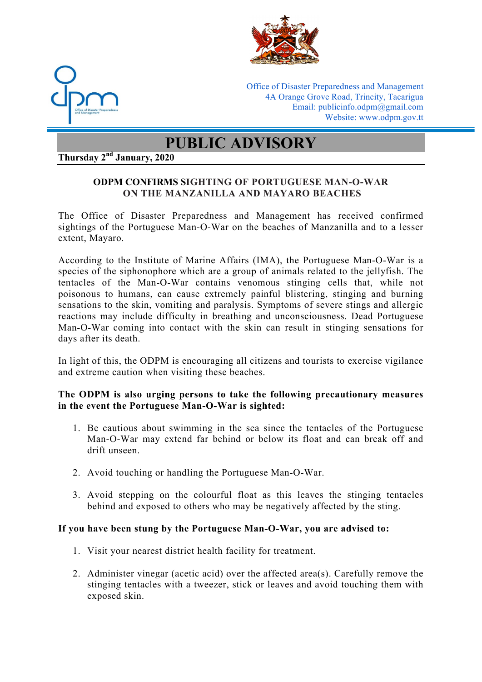



Office of Disaster Preparedness and Management 4A Orange Grove Road, Trincity, Tacarigua Email: publicinfo.odpm@gmail.com Website: www.odpm.gov.tt

# **PUBLIC ADVISORY**

**Thursday 2nd January, 2020** 

## **ODPM CONFIRMS SIGHTING OF PORTUGUESE MAN-O-WAR ON THE MANZANILLA AND MAYARO BEACHES**

The Office of Disaster Preparedness and Management has received confirmed sightings of the Portuguese Man-O-War on the beaches of Manzanilla and to a lesser extent, Mayaro.

According to the Institute of Marine Affairs (IMA), the Portuguese Man-O-War is a species of the siphonophore which are a group of animals related to the jellyfish. The tentacles of the Man-O-War contains venomous stinging cells that, while not poisonous to humans, can cause extremely painful blistering, stinging and burning sensations to the skin, vomiting and paralysis. Symptoms of severe stings and allergic reactions may include difficulty in breathing and unconsciousness. Dead Portuguese Man-O-War coming into contact with the skin can result in stinging sensations for days after its death.

In light of this, the ODPM is encouraging all citizens and tourists to exercise vigilance and extreme caution when visiting these beaches.

#### **The ODPM is also urging persons to take the following precautionary measures in the event the Portuguese Man-O-War is sighted:**

- 1. Be cautious about swimming in the sea since the tentacles of the Portuguese Man-O-War may extend far behind or below its float and can break off and drift unseen.
- 2. Avoid touching or handling the Portuguese Man-O-War.
- 3. Avoid stepping on the colourful float as this leaves the stinging tentacles behind and exposed to others who may be negatively affected by the sting.

### **If you have been stung by the Portuguese Man-O-War, you are advised to:**

- 1. Visit your nearest district health facility for treatment.
- 2. Administer vinegar (acetic acid) over the affected area(s). Carefully remove the stinging tentacles with a tweezer, stick or leaves and avoid touching them with exposed skin.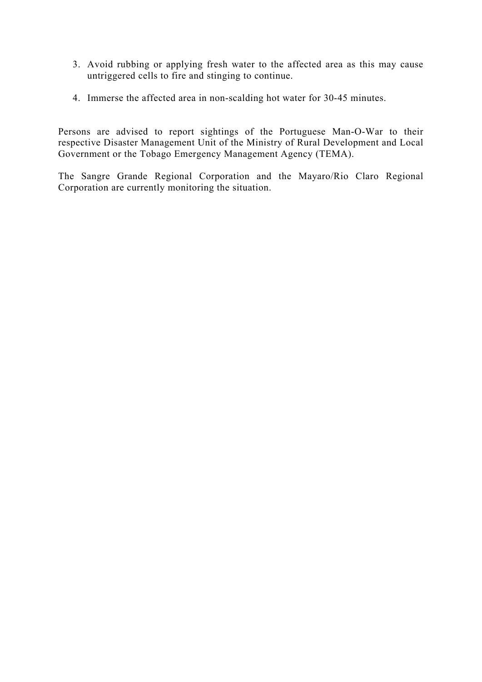- 3. Avoid rubbing or applying fresh water to the affected area as this may cause untriggered cells to fire and stinging to continue.
- 4. Immerse the affected area in non-scalding hot water for 30-45 minutes.

Persons are advised to report sightings of the Portuguese Man-O-War to their respective Disaster Management Unit of the Ministry of Rural Development and Local Government or the Tobago Emergency Management Agency (TEMA).

The Sangre Grande Regional Corporation and the Mayaro/Rio Claro Regional Corporation are currently monitoring the situation.